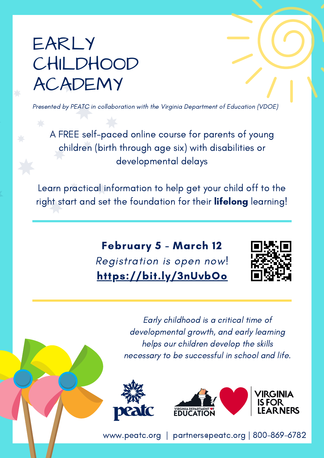## EARLY CHILDHOOD ACADEMY

Presented by PEATC in collaboration with the Virginia Department of Education (VDOE)

A FREE self-paced online course for parents of young children (birth through age six) with disabilities or developmental delays

Learn practical information to help get your child off to the right start and set the foundation for their lifelong learning!

> February 5 - March 12 Registration is open now! <https://bit.ly/3nUvbOo>



Early childhood is a critical time of developmental growth, and early learning helps our children develop the skills necessary to be successful in school and life.



[www.peatc.org](http://www.peatc.org/) | [partners@peatc.org](mailto:partners@peatc.org) | 800-869-6782